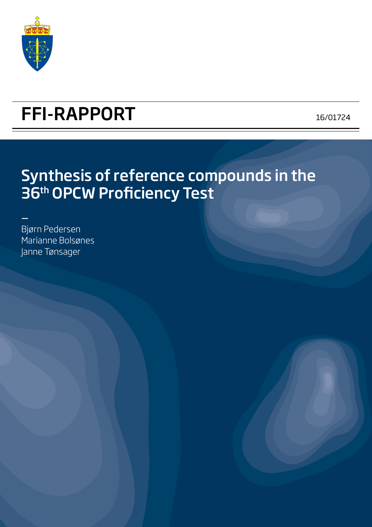

# FFI-RAPPORT 16/01724

# Synthesis of reference compounds in the 36th OPCW Proficiency Test

- Bjørn Pedersen Marianne Bolsønes Janne Tønsager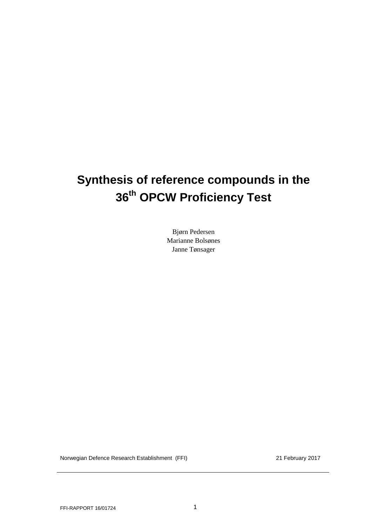# **Synthesis of reference compounds in the 36th OPCW Proficiency Test**

Bjørn Pedersen Marianne Bolsønes Janne Tønsager

Norwegian Defence Research Establishment (FFI) 21 February 2017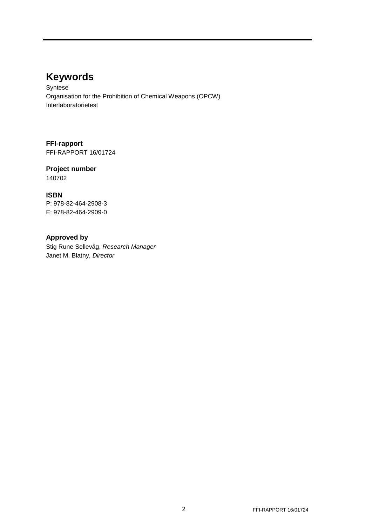# **Keywords**

Syntese Organisation for the Prohibition of Chemical Weapons (OPCW) Interlaboratorietest

**FFI-rapport** FFI-RAPPORT 16/01724

**Project number** 140702

### **ISBN**

P: 978-82-464-2908-3 E: 978-82-464-2909-0

### **Approved by**

Stig Rune Sellevåg, *Research Manager* Janet M. Blatny, *Director*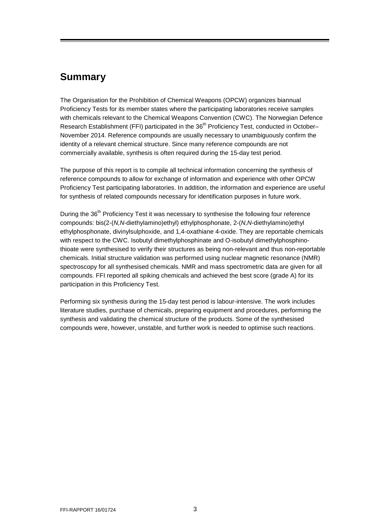## <span id="page-4-0"></span>**Summary**

The Organisation for the Prohibition of Chemical Weapons (OPCW) organizes biannual Proficiency Tests for its member states where the participating laboratories receive samples with chemicals relevant to the Chemical Weapons Convention (CWC). The Norwegian Defence Research Establishment (FFI) participated in the 36<sup>th</sup> Proficiency Test, conducted in October– November 2014. Reference compounds are usually necessary to unambiguously confirm the identity of a relevant chemical structure. Since many reference compounds are not commercially available, synthesis is often required during the 15-day test period.

The purpose of this report is to compile all technical information concerning the synthesis of reference compounds to allow for exchange of information and experience with other OPCW Proficiency Test participating laboratories. In addition, the information and experience are useful for synthesis of related compounds necessary for identification purposes in future work.

During the 36<sup>th</sup> Proficiency Test it was necessary to synthesise the following four reference compounds: bis(2-(*N,N*-diethylamino)ethyl) ethylphosphonate, 2-(*N,N*-diethylamino)ethyl ethylphosphonate, divinylsulphoxide, and 1,4-oxathiane 4-oxide. They are reportable chemicals with respect to the CWC. Isobutyl dimethylphosphinate and O-isobutyl dimethylphosphinothioate were synthesised to verify their structures as being non-relevant and thus non-reportable chemicals. Initial structure validation was performed using nuclear magnetic resonance (NMR) spectroscopy for all synthesised chemicals. NMR and mass spectrometric data are given for all compounds. FFI reported all spiking chemicals and achieved the best score (grade A) for its participation in this Proficiency Test.

Performing six synthesis during the 15-day test period is labour-intensive. The work includes literature studies, purchase of chemicals, preparing equipment and procedures, performing the synthesis and validating the chemical structure of the products. Some of the synthesised compounds were, however, unstable, and further work is needed to optimise such reactions.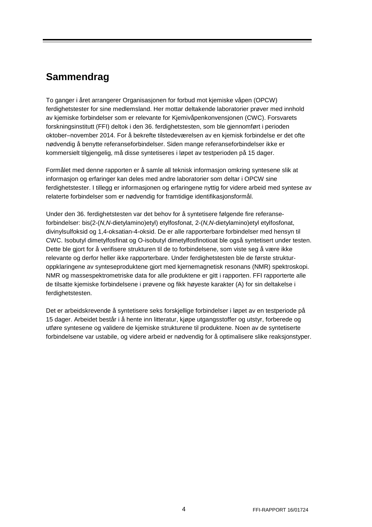# <span id="page-5-0"></span>**Sammendrag**

To ganger i året arrangerer Organisasjonen for forbud mot kjemiske våpen (OPCW) ferdighetstester for sine medlemsland. Her mottar deltakende laboratorier prøver med innhold av kjemiske forbindelser som er relevante for Kjemivåpenkonvensjonen (CWC). Forsvarets forskningsinstitutt (FFI) deltok i den 36. ferdighetstesten, som ble gjennomført i perioden oktober–november 2014. For å bekrefte tilstedeværelsen av en kjemisk forbindelse er det ofte nødvendig å benytte referanseforbindelser. Siden mange referanseforbindelser ikke er kommersielt tilgjengelig, må disse syntetiseres i løpet av testperioden på 15 dager.

Formålet med denne rapporten er å samle all teknisk informasjon omkring syntesene slik at informasjon og erfaringer kan deles med andre laboratorier som deltar i OPCW sine ferdighetstester. I tillegg er informasjonen og erfaringene nyttig for videre arbeid med syntese av relaterte forbindelser som er nødvendig for framtidige identifikasjonsformål.

Under den 36. ferdighetstesten var det behov for å syntetisere følgende fire referanseforbindelser: bis(2-(*N,N*-dietylamino)etyl) etylfosfonat, 2-(*N,N*-dietylamino)etyl etylfosfonat, divinylsulfoksid og 1,4-oksatian-4-oksid. De er alle rapporterbare forbindelser med hensyn til CWC. Isobutyl dimetylfosfinat og O-isobutyl dimetylfosfinotioat ble også syntetisert under testen. Dette ble gjort for å verifisere strukturen til de to forbindelsene, som viste seg å være ikke relevante og derfor heller ikke rapporterbare. Under ferdighetstesten ble de første strukturoppklaringene av synteseproduktene gjort med kjernemagnetisk resonans (NMR) spektroskopi. NMR og massespektrometriske data for alle produktene er gitt i rapporten. FFI rapporterte alle de tilsatte kjemiske forbindelsene i prøvene og fikk høyeste karakter (A) for sin deltakelse i ferdighetstesten.

Det er arbeidskrevende å syntetisere seks forskjellige forbindelser i løpet av en testperiode på 15 dager. Arbeidet består i å hente inn litteratur, kjøpe utgangsstoffer og utstyr, forberede og utføre syntesene og validere de kjemiske strukturene til produktene. Noen av de syntetiserte forbindelsene var ustabile, og videre arbeid er nødvendig for å optimalisere slike reaksjonstyper.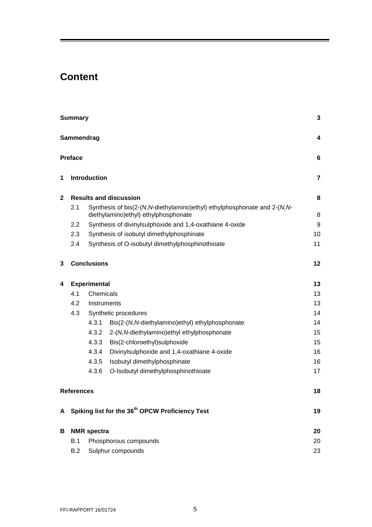# **Content**

|              | <b>Summary</b><br>Sammendrag                                  |                                                                                                                      |                                                  |    |  |  |  |  |
|--------------|---------------------------------------------------------------|----------------------------------------------------------------------------------------------------------------------|--------------------------------------------------|----|--|--|--|--|
|              |                                                               |                                                                                                                      |                                                  |    |  |  |  |  |
|              | <b>Preface</b>                                                |                                                                                                                      |                                                  | 6  |  |  |  |  |
| 1            | <b>Introduction</b>                                           |                                                                                                                      |                                                  |    |  |  |  |  |
| $\mathbf{2}$ | <b>Results and discussion</b>                                 |                                                                                                                      |                                                  |    |  |  |  |  |
|              | 2.1                                                           | Synthesis of bis(2-(N, N-diethylamino) ethyl) ethylphosphonate and 2-(N, N-<br>diethylamino) ethyl) ethylphosphonate |                                                  |    |  |  |  |  |
|              | 2.2                                                           | Synthesis of divinylsulphoxide and 1,4-oxathiane 4-oxide                                                             |                                                  |    |  |  |  |  |
|              | 2.3                                                           | Synthesis of isobutyl dimethylphosphinate                                                                            |                                                  |    |  |  |  |  |
|              | 2.4                                                           |                                                                                                                      | Synthesis of O-isobutyl dimethylphosphinothioate | 11 |  |  |  |  |
| 3            | <b>Conclusions</b>                                            |                                                                                                                      |                                                  |    |  |  |  |  |
| 4            | <b>Experimental</b>                                           |                                                                                                                      |                                                  |    |  |  |  |  |
|              | 4.1                                                           | Chemicals                                                                                                            |                                                  |    |  |  |  |  |
|              | 4.2                                                           | Instruments                                                                                                          |                                                  | 13 |  |  |  |  |
|              | 4.3                                                           | Synthetic procedures                                                                                                 |                                                  | 14 |  |  |  |  |
|              |                                                               | 4.3.1                                                                                                                | Bis(2-(N,N-diethylamino)ethyl) ethylphosphonate  | 14 |  |  |  |  |
|              |                                                               | 4.3.2                                                                                                                | 2-(N,N-diethylamino)ethyl ethylphosphonate       | 15 |  |  |  |  |
|              |                                                               | 4.3.3                                                                                                                | Bis(2-chloroethyl)sulphoxide                     | 15 |  |  |  |  |
|              |                                                               | 4.3.4                                                                                                                | Divinylsulphoxide and 1,4-oxathiane 4-oxide      | 16 |  |  |  |  |
|              |                                                               | 4.3.5                                                                                                                | Isobutyl dimethylphosphinate                     | 16 |  |  |  |  |
|              |                                                               | 4.3.6                                                                                                                | O-Isobutyl dimethylphosphinothioate              | 17 |  |  |  |  |
|              | <b>References</b>                                             |                                                                                                                      |                                                  | 18 |  |  |  |  |
|              | A Spiking list for the 36 <sup>th</sup> OPCW Proficiency Test |                                                                                                                      |                                                  |    |  |  |  |  |
| В            | <b>NMR</b> spectra                                            |                                                                                                                      |                                                  |    |  |  |  |  |
|              | B.1<br>Phosphorous compounds                                  |                                                                                                                      |                                                  | 20 |  |  |  |  |
|              | Sulphur compounds<br>B.2                                      |                                                                                                                      | 23                                               |    |  |  |  |  |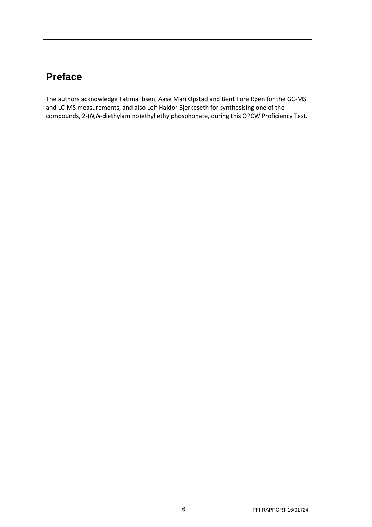# <span id="page-7-0"></span>**Preface**

The authors acknowledge Fatima Ibsen, Aase Mari Opstad and Bent Tore Røen for the GC-MS and LC-MS measurements, and also Leif Haldor Bjerkeseth for synthesising one of the compounds, 2-(*N,N*-diethylamino)ethyl ethylphosphonate, during this OPCW Proficiency Test.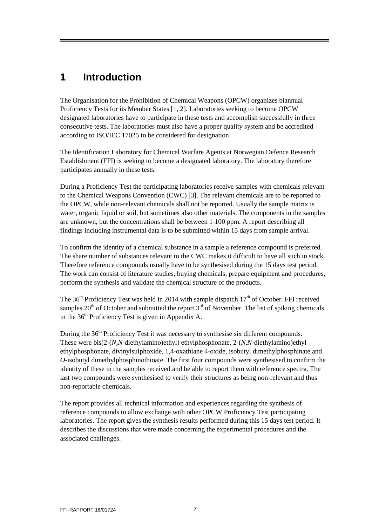# <span id="page-8-0"></span>**1 Introduction**

The Organisation for the Prohibition of Chemical Weapons (OPCW) organizes biannual Proficiency Tests for its Member States [\[1,](#page-19-1) [2\]](#page-19-2). Laboratories seeking to become OPCW designated laboratories have to participate in these tests and accomplish successfully in three consecutive tests. The laboratories must also have a proper quality system and be accredited according to ISO/IEC 17025 to be considered for designation.

The Identification Laboratory for Chemical Warfare Agents at Norwegian Defence Research Establishment (FFI) is seeking to become a designated laboratory. The laboratory therefore participates annually in these tests.

During a Proficiency Test the participating laboratories receive samples with chemicals relevant to the Chemical Weapons Convention (CWC) [3]. The relevant chemicals are to be reported to the OPCW, while non-relevant chemicals shall not be reported. Usually the sample matrix is water, organic liquid or soil, but sometimes also other materials. The components in the samples are unknown, but the concentrations shall be between 1-100 ppm. A report describing all findings including instrumental data is to be submitted within 15 days from sample arrival.

To confirm the identity of a chemical substance in a sample a reference compound is preferred. The share number of substances relevant to the CWC makes it difficult to have all such in stock. Therefore reference compounds usually have to be synthesised during the 15 days test period. The work can consist of literature studies, buying chemicals, prepare equipment and procedures, perform the synthesis and validate the chemical structure of the products.

The  $36<sup>th</sup>$  Proficiency Test was held in 2014 with sample dispatch  $17<sup>th</sup>$  of October. FFI received samples  $20<sup>th</sup>$  of October and submitted the report  $3<sup>rd</sup>$  of November. The list of spiking chemicals in the  $36<sup>th</sup>$  Proficiency Test is given in Appendix [A.](#page-20-0)

During the 36<sup>th</sup> Proficiency Test it was necessary to synthesise six different compounds. These were bis(2-(*N,N*-diethylamino)ethyl) ethylphosphonate, 2-(*N,N*-diethylamino)ethyl ethylphosphonate, divinylsulphoxide, 1,4-oxathiane 4-oxide, isobutyl dimethylphosphinate and *O*-isobutyl dimethylphosphinothioate. The first four compounds were synthesised to confirm the identity of these in the samples received and be able to report them with reference spectra. The last two compounds were synthesised to verify their structures as being non-relevant and thus non-reportable chemicals.

The report provides all technical information and experiences regarding the synthesis of reference compounds to allow exchange with other OPCW Proficiency Test participating laboratories. The report gives the synthesis results performed during this 15 days test period. It describes the discussions that were made concerning the experimental procedures and the associated challenges.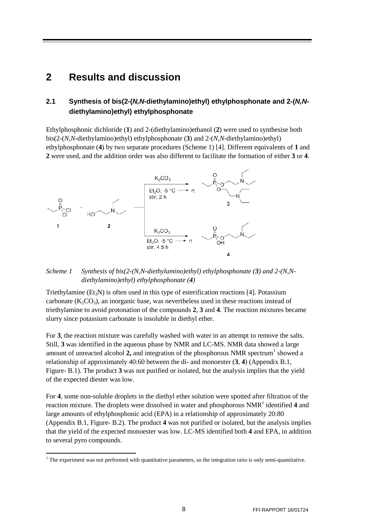## <span id="page-9-0"></span>**2 Results and discussion**

### <span id="page-9-1"></span>**2.1 Synthesis of bis(2-(***N,N***-diethylamino)ethyl) ethylphosphonate and 2-(***N,N***diethylamino)ethyl) ethylphosphonate**

Ethylphosphonic dichloride (**1**) and 2-(diethylamino)ethanol (**2**) were used to synthesise both bis(2-(*N,N*-diethylamino)ethyl) ethylphosphonate (**3**) and 2-(*N,N*-diethylamino)ethyl) ethylphosphonate (**4**) by two separate procedures [\(Scheme 1\)](#page-9-2) [\[4\]](#page-19-3). Different equivalents of **1** and **2** were used, and the addition order was also different to facilitate the formation of either **3** or **4**.



#### <span id="page-9-2"></span>*Scheme 1 Synthesis of bis(2-(N,N-diethylamino)ethyl) ethylphosphonate (3) and 2-(N,Ndiethylamino)ethyl) ethylphosphonate (4)*

Triethylamine ( $Et_3N$ ) is often used in this type of esterification reactions [\[4\]](#page-19-3). Potassium carbonate  $(K_2CO_3)$ , an inorganic base, was nevertheless used in these reactions instead of triethylamine to avoid protonation of the compounds **2**, **3** and **4**. The reaction mixtures became slurry since potassium carbonate is insoluble in diethyl ether.

For **3**, the reaction mixture was carefully washed with water in an attempt to remove the salts. Still, **3** was identified in the aqueous phase by NMR and LC-MS. NMR data showed a large amount of unreacted alcohol  $2$ , and integration of the phosphorous NMR spectrum<sup>[1](#page-9-3)</sup> showed a relationship of approximately 40:60 between the di- and monoester (**3**, **4**) (Appendix [B.1,](#page-21-1) [Figure-](#page-21-2) B.1). The product **3** was not purified or isolated, but the analysis implies that the yield of the expected diester was low.

For **4**, some non-soluble droplets in the diethyl ether solution were spotted after filtration of the reaction mixture. The droplets were dissolved in water and phosphorous NMR<sup>1</sup> identified 4 and large amounts of ethylphosphonic acid (EPA) in a relationship of approximately 20:80 (Appendix [B.1,](#page-21-1) [Figure-](#page-22-0) B.2). The product **4** was not purified or isolated, but the analysis implies that the yield of the expected monoester was low. LC-MS identified both **4** and EPA, in addition to several pyro compounds.

 $\overline{a}$ 

<span id="page-9-3"></span><sup>&</sup>lt;sup>1</sup> The experiment was not performed with quantitative parameters, so the integration ratio is only semi-quantitative.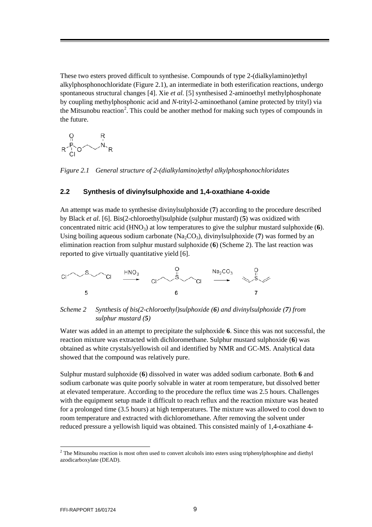These two esters proved difficult to synthesise. Compounds of type 2-(dialkylamino)ethyl alkylphosphonochloridate [\(Figure 2.1\)](#page-10-1), an intermediate in both esterification reactions, undergo spontaneous structural changes [\[4\]](#page-19-3). Xie *et al.* [\[5\]](#page-19-4) synthesised 2-aminoethyl methylphosphonate by coupling methylphosphonic acid and *N*-trityl-2-aminoethanol (amine protected by trityl) via the Mitsunobu reaction<sup>[2](#page-10-3)</sup>. This could be another method for making such types of compounds in the future.

$$
\begin{matrix}0 & R \\ P & \ddots \\ R & C\end{matrix}
$$

<span id="page-10-1"></span>*Figure 2.1 General structure of 2-(dialkylamino)ethyl alkylphosphonochloridates*

#### <span id="page-10-0"></span>**2.2 Synthesis of divinylsulphoxide and 1,4-oxathiane 4-oxide**

An attempt was made to synthesise divinylsulphoxide (**7**) according to the procedure described by Black *et al.* [\[6\]](#page-19-5). Bis(2-chloroethyl)sulphide (sulphur mustard) (**5**) was oxidized with concentrated nitric acid  $(HNO<sub>3</sub>)$  at low temperatures to give the sulphur mustard sulphoxide (6). Using boiling aqueous sodium carbonate  $(Na_2CO_3)$ , divinylsulphoxide (7) was formed by an elimination reaction from sulphur mustard sulphoxide (**6**) [\(Scheme 2\)](#page-10-2). The last reaction was reported to give virtually quantitative yield [\[6\]](#page-19-5).



<span id="page-10-2"></span>*Scheme 2 Synthesis of bis(2-chloroethyl)sulphoxide (6) and divinylsulphoxide (7) from sulphur mustard (5)*

Water was added in an attempt to precipitate the sulphoxide **6**. Since this was not successful, the reaction mixture was extracted with dichloromethane. Sulphur mustard sulphoxide (**6**) was obtained as white crystals/yellowish oil and identified by NMR and GC-MS. Analytical data showed that the compound was relatively pure.

Sulphur mustard sulphoxide (**6**) dissolved in water was added sodium carbonate. Both **6** and sodium carbonate was quite poorly solvable in water at room temperature, but dissolved better at elevated temperature. According to the procedure the reflux time was 2.5 hours. Challenges with the equipment setup made it difficult to reach reflux and the reaction mixture was heated for a prolonged time (3.5 hours) at high temperatures. The mixture was allowed to cool down to room temperature and extracted with dichloromethane. After removing the solvent under reduced pressure a yellowish liquid was obtained. This consisted mainly of 1,4-oxathiane 4-

**.** 

<span id="page-10-3"></span><sup>&</sup>lt;sup>2</sup> The Mitsunobu reaction is most often used to convert alcohols into esters using triphenylphosphine and diethyl azodicarboxylate (DEAD).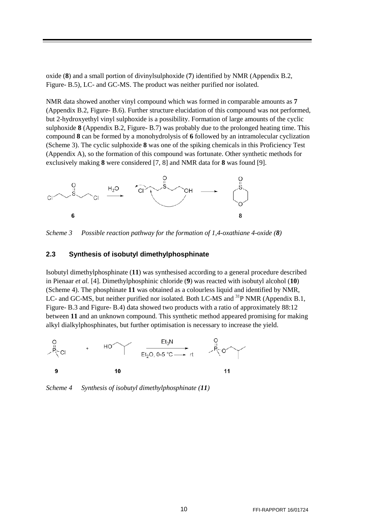oxide (**8**) and a small portion of divinylsulphoxide (**7**) identified by NMR (Appendix [B.2,](#page-24-0) [Figure-](#page-24-1) B.5), LC- and GC-MS. The product was neither purified nor isolated.

NMR data showed another vinyl compound which was formed in comparable amounts as **7** (Appendix [B.2,](#page-24-0) [Figure-](#page-25-0) B.6). Further structure elucidation of this compound was not performed, but 2-hydroxyethyl vinyl sulphoxide is a possibility. Formation of large amounts of the cyclic sulphoxide **8** (Appendix [B.2,](#page-24-0) [Figure-](#page-25-1) B.7) was probably due to the prolonged heating time. This compound **8** can be formed by a monohydrolysis of **6** followed by an intramolecular cyclization [\(Scheme 3\)](#page-11-1). The cyclic sulphoxide **8** was one of the spiking chemicals in this Proficiency Test (Appendix [A\)](#page-20-0), so the formation of this compound was fortunate. Other synthetic methods for exclusively making **8** were considered [\[7,](#page-19-6) [8\]](#page-19-7) and NMR data for **8** was found [\[9\]](#page-19-8).



<span id="page-11-1"></span>*Scheme 3 Possible reaction pathway for the formation of 1,4-oxathiane 4-oxide (8)*

#### <span id="page-11-0"></span>**2.3 Synthesis of isobutyl dimethylphosphinate**

Isobutyl dimethylphosphinate (**11**) was synthesised according to a general procedure described in Pienaar *et al.* [\[4\]](#page-19-3). Dimethylphosphinic chloride (**9**) was reacted with isobutyl alcohol (**10**) [\(Scheme 4\)](#page-11-2). The phosphinate **11** was obtained as a colourless liquid and identified by NMR, LC- and GC-MS, but neither purified nor isolated. Both LC-MS and <sup>31</sup>P NMR (Appendix [B.1,](#page-21-1) [Figure-](#page-22-1) B.3 and [Figure-](#page-23-0) B.4) data showed two products with a ratio of approximately 88:12 between **11** and an unknown compound. This synthetic method appeared promising for making alkyl dialkylphosphinates, but further optimisation is necessary to increase the yield.



<span id="page-11-2"></span>*Scheme 4 Synthesis of isobutyl dimethylphosphinate (11)*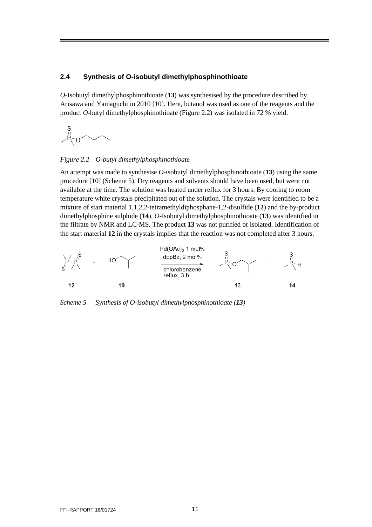#### <span id="page-12-0"></span>**2.4 Synthesis of O-isobutyl dimethylphosphinothioate**

*O*-Isobutyl dimethylphosphinothioate (**13**) was synthesised by the procedure described by Arisawa and Yamaguchi in 2010 [\[10\]](#page-19-9). Here, butanol was used as one of the reagents and the product *O*-butyl dimethylphosphinothioate [\(Figure](#page-12-1) 2.2) was isolated in 72 % yield.



#### <span id="page-12-1"></span>*Figure 2.2 O-butyl dimethylphosphinothioate*

An attempt was made to synthesise *O*-isobutyl dimethylphosphinothioate (**13**) using the same procedure [\[10\]](#page-19-9) [\(Scheme 5\)](#page-12-2). Dry reagents and solvents should have been used, but were not available at the time. The solution was heated under reflux for 3 hours. By cooling to room temperature white crystals precipitated out of the solution. The crystals were identified to be a mixture of start material 1,1,2,2-tetramethyldiphosphane-1,2-disulfide (**12**) and the by-product dimethylphosphine sulphide (**14**). *O-*Isobutyl dimethylphosphinothioate (**13**) was identified in the filtrate by NMR and LC-MS. The product **13** was not purified or isolated. Identification of the start material **12** in the crystals implies that the reaction was not completed after 3 hours.



<span id="page-12-2"></span>*Scheme 5 Synthesis of O-isobutyl dimethylphosphinothioate (13)*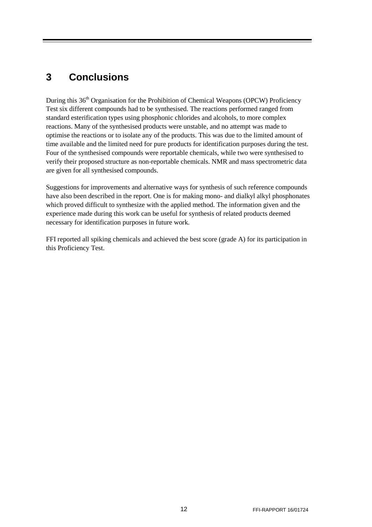# <span id="page-13-0"></span>**3 Conclusions**

During this 36<sup>th</sup> Organisation for the Prohibition of Chemical Weapons (OPCW) Proficiency Test six different compounds had to be synthesised. The reactions performed ranged from standard esterification types using phosphonic chlorides and alcohols, to more complex reactions. Many of the synthesised products were unstable, and no attempt was made to optimise the reactions or to isolate any of the products. This was due to the limited amount of time available and the limited need for pure products for identification purposes during the test. Four of the synthesised compounds were reportable chemicals, while two were synthesised to verify their proposed structure as non-reportable chemicals. NMR and mass spectrometric data are given for all synthesised compounds.

Suggestions for improvements and alternative ways for synthesis of such reference compounds have also been described in the report. One is for making mono- and dialkyl alkyl phosphonates which proved difficult to synthesize with the applied method. The information given and the experience made during this work can be useful for synthesis of related products deemed necessary for identification purposes in future work.

FFI reported all spiking chemicals and achieved the best score (grade A) for its participation in this Proficiency Test.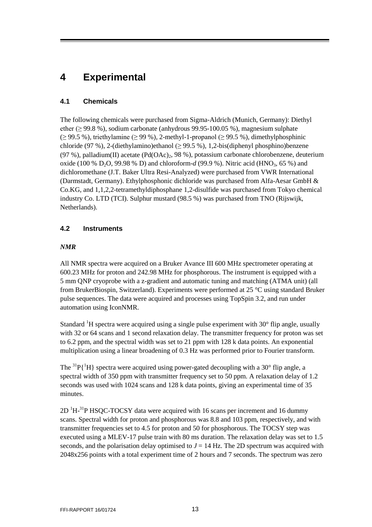# <span id="page-14-0"></span>**4 Experimental**

### <span id="page-14-1"></span>**4.1 Chemicals**

The following chemicals were purchased from Sigma-Aldrich (Munich, Germany): Diethyl ether ( $\geq$  99.8 %), sodium carbonate (anhydrous 99.95-100.05 %), magnesium sulphate  $(≥ 99.5 %)$ , triethylamine  $(≥ 99 %)$ , 2-methyl-1-propanol  $(≥ 99.5 %)$ , dimethylphosphinic chloride (97 %), 2-(diethylamino)ethanol ( $\geq$  99.5 %), 1,2-bis(diphenyl phosphino)benzene (97 %), palladium(II) acetate (Pd(OAc) $_2$ , 98 %), potassium carbonate chlorobenzene, deuterium oxide (100 % D<sub>2</sub>O, 99.98 % D) and chloroform- $d$  (99.9 %). Nitric acid (HNO<sub>3</sub>, 65 %) and dichloromethane (J.T. Baker Ultra Resi-Analyzed) were purchased from VWR International (Darmstadt, Germany). Ethylphosphonic dichloride was purchased from Alfa-Aesar GmbH & Co.KG, and 1,1,2,2-tetramethyldiphosphane 1,2-disulfide was purchased from Tokyo chemical industry Co. LTD (TCI). Sulphur mustard (98.5 %) was purchased from TNO (Rijswijk, Netherlands).

### <span id="page-14-2"></span>**4.2 Instruments**

### *NMR*

All NMR spectra were acquired on a Bruker Avance III 600 MHz spectrometer operating at 600.23 MHz for proton and 242.98 MHz for phosphorous. The instrument is equipped with a 5 mm QNP cryoprobe with a z-gradient and automatic tuning and matching (ATMA unit) (all from BrukerBiospin, Switzerland). Experiments were performed at 25 °C using standard Bruker pulse sequences. The data were acquired and processes using TopSpin 3.2, and run under automation using IconNMR.

Standard <sup>1</sup>H spectra were acquired using a single pulse experiment with  $30^{\circ}$  flip angle, usually with 32 or 64 scans and 1 second relaxation delay. The transmitter frequency for proton was set to 6.2 ppm, and the spectral width was set to 21 ppm with 128 k data points. An exponential multiplication using a linear broadening of 0.3 Hz was performed prior to Fourier transform.

The  ${}^{31}P\{{}^{1}H\}$  spectra were acquired using power-gated decoupling with a 30° flip angle, a spectral width of 350 ppm with transmitter frequency set to 50 ppm. A relaxation delay of 1.2 seconds was used with 1024 scans and 128 k data points, giving an experimental time of 35 minutes.

 $2D<sup>1</sup>H<sup>-31</sup>P$  HSQC-TOCSY data were acquired with 16 scans per increment and 16 dummy scans. Spectral width for proton and phosphorous was 8.8 and 103 ppm, respectively, and with transmitter frequencies set to 4.5 for proton and 50 for phosphorous. The TOCSY step was executed using a MLEV-17 pulse train with 80 ms duration. The relaxation delay was set to 1.5 seconds, and the polarisation delay optimised to  $J = 14$  Hz. The 2D spectrum was acquired with 2048x256 points with a total experiment time of 2 hours and 7 seconds. The spectrum was zero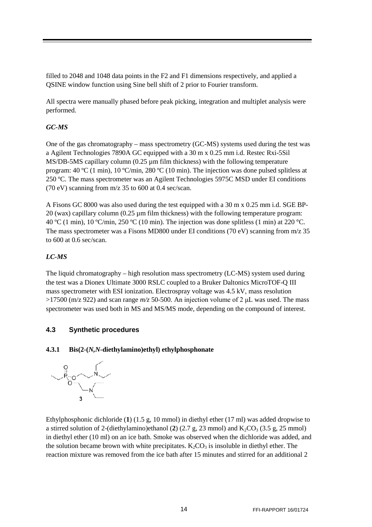filled to 2048 and 1048 data points in the F2 and F1 dimensions respectively, and applied a QSINE window function using Sine bell shift of 2 prior to Fourier transform.

All spectra were manually phased before peak picking, integration and multiplet analysis were performed.

### *GC-MS*

One of the gas chromatography – mass spectrometry (GC-MS) systems used during the test was a Agilent Technologies 7890A GC equipped with a 30 m x 0.25 mm i.d. Restec Rxi-5Sil  $MS/DB-5MS$  capillary column (0.25  $\mu$ m film thickness) with the following temperature program: 40 °C (1 min), 10 °C/min, 280 °C (10 min). The injection was done pulsed splitless at 250 ºC. The mass spectrometer was an Agilent Technologies 5975C MSD under EI conditions (70 eV) scanning from m/z 35 to 600 at 0.4 sec/scan.

A Fisons GC 8000 was also used during the test equipped with a 30 m x 0.25 mm i.d. SGE BP- $20$  (wax) capillary column (0.25  $\mu$ m film thickness) with the following temperature program: 40 °C (1 min), 10 °C/min, 250 °C (10 min). The injection was done splitless (1 min) at 220 °C. The mass spectrometer was a Fisons MD800 under EI conditions (70 eV) scanning from m/z 35 to 600 at 0.6 sec/scan.

### *LC-MS*

The liquid chromatography – high resolution mass spectrometry (LC-MS) system used during the test was a Dionex Ultimate 3000 RSLC coupled to a Bruker Daltonics MicroTOF-Q III mass spectrometer with ESI ionization. Electrospray voltage was 4.5 kV, mass resolution >17500 (m/z 922) and scan range *m/z* 50-500. An injection volume of 2 μL was used. The mass spectrometer was used both in MS and MS/MS mode, depending on the compound of interest.

### <span id="page-15-0"></span>**4.3 Synthetic procedures**

### <span id="page-15-1"></span>**4.3.1 Bis(2-(***N,N***-diethylamino)ethyl) ethylphosphonate**



Ethylphosphonic dichloride (**1**) (1.5 g, 10 mmol) in diethyl ether (17 ml) was added dropwise to a stirred solution of 2-(diethylamino)ethanol (2) (2.7 g, 23 mmol) and  $K_2CO_3$  (3.5 g, 25 mmol) in diethyl ether (10 ml) on an ice bath. Smoke was observed when the dichloride was added, and the solution became brown with white precipitates.  $K_2CO_3$  is insoluble in diethyl ether. The reaction mixture was removed from the ice bath after 15 minutes and stirred for an additional 2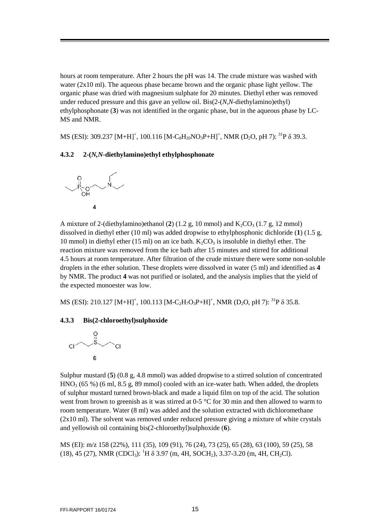hours at room temperature. After 2 hours the pH was 14. The crude mixture was washed with water (2x10 ml). The aqueous phase became brown and the organic phase light yellow. The organic phase was dried with magnesium sulphate for 20 minutes. Diethyl ether was removed under reduced pressure and this gave an yellow oil. Bis(2-(*N,N*-diethylamino)ethyl) ethylphosphonate (**3**) was not identified in the organic phase, but in the aqueous phase by LC-MS and NMR.

MS (ESI): 309.237  $\text{[M+H]}^+$ , 100.116  $\text{[M-C}_8\text{H}_{20}\text{NO}_3\text{P+H]}^+$ , NMR (D<sub>2</sub>O, pH 7):  $^{31}\text{P}$   $\delta$  39.3.

#### <span id="page-16-0"></span>**4.3.2 2-(***N,N***-diethylamino)ethyl ethylphosphonate**



A mixture of 2-(diethylamino)ethanol  $(2)$  (1.2 g, 10 mmol) and  $K_2CO_3$  (1.7 g, 12 mmol) dissolved in diethyl ether (10 ml) was added dropwise to ethylphosphonic dichloride (**1**) (1.5 g, 10 mmol) in diethyl ether (15 ml) on an ice bath.  $K_2CO_3$  is insoluble in diethyl ether. The reaction mixture was removed from the ice bath after 15 minutes and stirred for additional 4.5 hours at room temperature. After filtration of the crude mixture there were some non-soluble droplets in the ether solution. These droplets were dissolved in water (5 ml) and identified as **4** by NMR. The product **4** was not purified or isolated, and the analysis implies that the yield of the expected monoester was low.

MS (ESI): 210.127  $\text{[M+H]}^+$ , 100.113  $\text{[M-C}_2\text{H}_7\text{O}_3\text{P+H]}^+$ , NMR (D<sub>2</sub>O, pH 7): <sup>31</sup>P  $\delta$  35.8.

#### <span id="page-16-1"></span>**4.3.3 Bis(2-chloroethyl)sulphoxide**



Sulphur mustard (**5**) (0.8 g, 4.8 mmol) was added dropwise to a stirred solution of concentrated  $HNO<sub>3</sub>$  (65 %) (6 ml, 8.5 g, 89 mmol) cooled with an ice-water bath. When added, the droplets of sulphur mustard turned brown-black and made a liquid film on top of the acid. The solution went from brown to greenish as it was stirred at 0-5 °C for 30 min and then allowed to warm to room temperature. Water (8 ml) was added and the solution extracted with dichloromethane (2x10 ml). The solvent was removed under reduced pressure giving a mixture of white crystals and yellowish oil containing bis(2-chloroethyl)sulphoxide (**6**).

MS (EI): m/z 158 (22%), 111 (35), 109 (91), 76 (24), 73 (25), 65 (28), 63 (100), 59 (25), 58 (18), 45 (27), NMR (CDCl<sub>3</sub>): <sup>1</sup>H  $\delta$  3.97 (m, 4H, SOCH<sub>2</sub>), 3.37-3.20 (m, 4H, CH<sub>2</sub>Cl).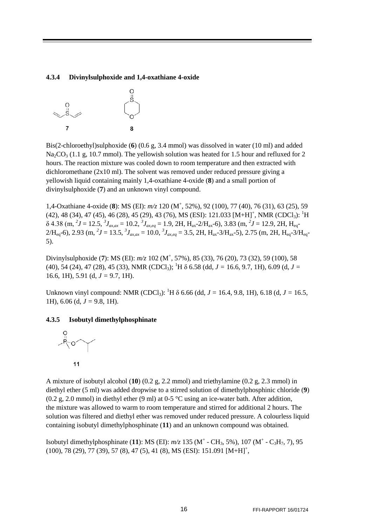#### <span id="page-17-0"></span>**4.3.4 Divinylsulphoxide and 1,4-oxathiane 4-oxide**



Bis(2-chloroethyl)sulphoxide (**6**) (0.6 g, 3.4 mmol) was dissolved in water (10 ml) and added  $Na_2CO_3$  (1.1 g, 10.7 mmol). The yellowish solution was heated for 1.5 hour and refluxed for 2 hours. The reaction mixture was cooled down to room temperature and then extracted with dichloromethane (2x10 ml). The solvent was removed under reduced pressure giving a yellowish liquid containing mainly 1,4-oxathiane 4-oxide (**8**) and a small portion of divinylsulphoxide (**7**) and an unknown vinyl compound.

1,4-Oxathiane 4-oxide (**8**): MS (EI): *m/z* 120 (M<sup>+</sup> , 52%), 92 (100), 77 (40), 76 (31), 63 (25), 59  $(42), 48 (34), 47 (45), 46 (28), 45 (29), 43 (76), MS (ESI): 121.033 [M+H]<sup>+</sup>, NMR (CDCl<sub>3</sub>): <sup>1</sup>H$  $\delta$  4.38 (m,  $^{2}J = 12.5$ ,  $^{3}J_{\alpha x, \alpha x} = 10.2$ ,  $^{3}J_{\alpha x, eq} = 1.9$ , 2H,  $H_{\alpha x}$ -2/ $H_{\alpha x}$ -6), 3.83 (m,  $^{2}J = 12.9$ , 2H,  $H_{eq}$ - $2/H_{eq}$ -6), 2.93 (m, <sup>2</sup> $J = 13.5$ ,  ${}^{3}J_{ax,ax} = 10.0$ ,  ${}^{3}J_{ax,eq} = 3.5$ , 2H, H<sub>ax</sub>-3/H<sub>ax</sub>-5), 2.75 (m, 2H, H<sub>eq</sub>-3/H<sub>eq</sub>-5).

Divinylsulphoxide (**7**): MS (EI): *m/z* 102 (M<sup>+</sup> , 57%), 85 (33), 76 (20), 73 (32), 59 (100), 58 (40), 54 (24), 47 (28), 45 (33), NMR (CDCl<sub>3</sub>); <sup>1</sup>H δ 6.58 (dd, *J* = 16.6, 9.7, 1H), 6.09 (d, *J* = 16.6, 1H), 5.91 (d, *J =* 9.7, 1H).

Unknown vinyl compound: NMR (CDCl<sub>3</sub>): <sup>1</sup>H δ 6.66 (dd, *J* = 16.4, 9.8, 1H), 6.18 (d, *J* = 16.5, 1H), 6.06 (d, *J =* 9.8, 1H).

### <span id="page-17-1"></span>**4.3.5 Isobutyl dimethylphosphinate**



A mixture of isobutyl alcohol (**10**) (0.2 g, 2.2 mmol) and triethylamine (0.2 g, 2.3 mmol) in diethyl ether (5 ml) was added dropwise to a stirred solution of dimethylphosphinic chloride (**9**) (0.2 g, 2.0 mmol) in diethyl ether (9 ml) at 0-5 °C using an ice-water bath. After addition, the mixture was allowed to warm to room temperature and stirred for additional 2 hours. The solution was filtered and diethyl ether was removed under reduced pressure. A colourless liquid containing isobutyl dimethylphosphinate (**11**) and an unknown compound was obtained.

Isobutyl dimethylphosphinate (11): MS (EI):  $m/z$  135 (M<sup>+</sup> - CH<sub>3</sub>, 5%), 107 (M<sup>+</sup> - C<sub>3</sub>H<sub>7</sub>, 7), 95 (100), 78 (29), 77 (39), 57 (8), 47 (5), 41 (8), MS (ESI): 151.091 [M+H]<sup>+</sup>,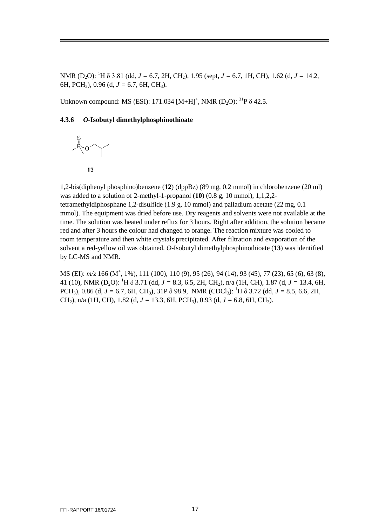NMR (D<sub>2</sub>O): <sup>1</sup>H δ 3.81 (dd, *J* = 6.7, 2H, CH<sub>2</sub>), 1.95 (sept, *J* = 6.7, 1H, CH), 1.62 (d, *J* = 14.2, 6H, PCH3), 0.96 (d, *J =* 6.7, 6H, CH3).

Unknown compound: MS (ESI): 171.034  $[M+H]^+$ , NMR (D<sub>2</sub>O): <sup>31</sup>P  $\delta$  42.5.

#### <span id="page-18-0"></span>**4.3.6** *O***-Isobutyl dimethylphosphinothioate**





1,2-bis(diphenyl phosphino)benzene (**12**) (dppBz) (89 mg, 0.2 mmol) in chlorobenzene (20 ml) was added to a solution of 2-methyl-1-propanol (**10**) (0.8 g, 10 mmol), 1,1,2,2 tetramethyldiphosphane 1,2-disulfide (1.9 g, 10 mmol) and palladium acetate (22 mg, 0.1 mmol). The equipment was dried before use. Dry reagents and solvents were not available at the time. The solution was heated under reflux for 3 hours. Right after addition, the solution became red and after 3 hours the colour had changed to orange. The reaction mixture was cooled to room temperature and then white crystals precipitated. After filtration and evaporation of the solvent a red-yellow oil was obtained. *O*-Isobutyl dimethylphosphinothioate (**13**) was identified by LC-MS and NMR.

MS (EI):  $m/z$  166 (M<sup>+</sup>, 1%), 111 (100), 110 (9), 95 (26), 94 (14), 93 (45), 77 (23), 65 (6), 63 (8), 41 (10), NMR (D2O): <sup>1</sup> H δ 3.71 (dd, *J =* 8.3, 6.5, 2H, CH2), n/a (1H, CH), 1.87 (d, *J =* 13.4, 6H, PCH<sub>3</sub>), 0.86 (d,  $J = 6.7$ , 6H, CH<sub>3</sub>), 31P  $\delta$  98.9, NMR (CDCl<sub>3</sub>): <sup>1</sup>H  $\delta$  3.72 (dd,  $J = 8.5$ , 6.6, 2H, CH2), n/a (1H, CH), 1.82 (d, *J =* 13.3, 6H, PCH3), 0.93 (d, *J =* 6.8, 6H, CH3).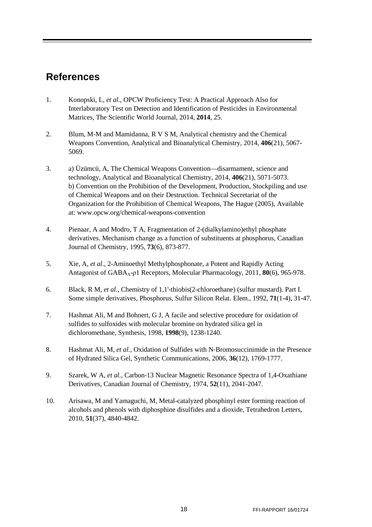# <span id="page-19-0"></span>**References**

- <span id="page-19-1"></span>1. Konopski, L*, et al.*, OPCW Proficiency Test: A Practical Approach Also for Interlaboratory Test on Detection and Identification of Pesticides in Environmental Matrices*,* The Scientific World Journal, 2014, **2014**, 25.
- <span id="page-19-2"></span>2. Blum, M-M and Mamidanna, R V S M, Analytical chemistry and the Chemical Weapons Convention*,* Analytical and Bioanalytical Chemistry, 2014, **406**(21), 5067- 5069.
- 3. a) Üzümcü, A, The Chemical Weapons Convention—disarmament, science and technology*,* Analytical and Bioanalytical Chemistry, 2014, **406**(21), 5071-5073. b) Convention on the Prohibition of the Development, Production, Stockpiling and use of Chemical Weapons and on their Destruction. Technical Secretariat of the Organization for the Prohibition of Chemical Weapons, The Hague (2005), Available at: www.opcw.org/chemical-weapons-convention
- <span id="page-19-3"></span>4. Pienaar, A and Modro, T A, Fragmentation of 2-(dialkylamino)ethyl phosphate derivatives. Mechanism change as a function of substituents at phosphorus*,* Canadian Journal of Chemistry, 1995, **73**(6), 873-877.
- <span id="page-19-4"></span>5. Xie, A*, et al.*, 2-Aminoethyl Methylphosphonate, a Potent and Rapidly Acting Antagonist of GABAA-ρ1 Receptors*,* Molecular Pharmacology, 2011, **80**(6), 965-978.
- <span id="page-19-5"></span>6. Black, R M*, et al.*, Chemistry of 1,1'-thiobis(2-chloroethane) (sulfur mustard). Part I. Some simple derivatives*,* Phosphorus, Sulfur Silicon Relat. Elem., 1992, **71**(1-4), 31-47.
- <span id="page-19-6"></span>7. Hashmat Ali, M and Bohnert, G J, A facile and selective procedure for oxidation of sulfides to sulfoxides with molecular bromine on hydrated silica gel in dichloromethane*,* Synthesis, 1998, **1998**(9), 1238-1240.
- <span id="page-19-7"></span>8. Hashmat Ali, M*, et al.*, Oxidation of Sulfides with N‐Bromosuccinimide in the Presence of Hydrated Silica Gel*,* Synthetic Communications, 2006, **36**(12), 1769-1777.
- <span id="page-19-8"></span>9. Szarek, W A*, et al.*, Carbon-13 Nuclear Magnetic Resonance Spectra of 1,4-Oxathiane Derivatives*,* Canadian Journal of Chemistry, 1974, **52**(11), 2041-2047.
- <span id="page-19-9"></span>10. Arisawa, M and Yamaguchi, M, Metal-catalyzed phosphinyl ester forming reaction of alcohols and phenols with diphosphine disulfides and a dioxide*,* Tetrahedron Letters, 2010, **51**(37), 4840-4842.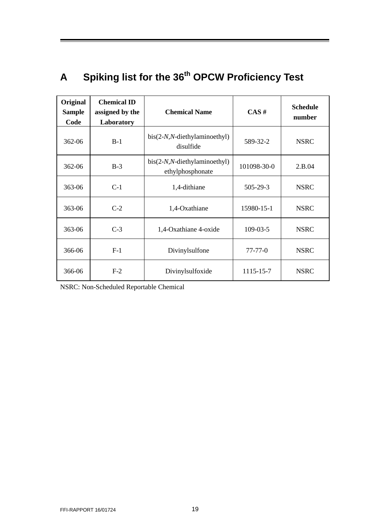# <span id="page-20-0"></span>**A Spiking list for the 36th OPCW Proficiency Test**

| Original<br><b>Sample</b><br>Code | <b>Chemical ID</b><br>assigned by the<br>Laboratory | <b>Chemical Name</b>                                | CAS#           | <b>Schedule</b><br>number |
|-----------------------------------|-----------------------------------------------------|-----------------------------------------------------|----------------|---------------------------|
| 362-06                            | $B-1$                                               | $bis(2-N,N-diethylaminoethyl)$<br>disulfide         | 589-32-2       | <b>NSRC</b>               |
| 362-06                            | $B-3$                                               | $bis(2-N,N-diet hylaminoethyl)$<br>ethylphosphonate | 101098-30-0    | 2.B.04                    |
| 363-06                            | $C-1$                                               | 1,4-dithiane                                        | 505-29-3       | <b>NSRC</b>               |
| 363-06                            | $C-2$                                               | 1,4-Oxathiane                                       | 15980-15-1     | <b>NSRC</b>               |
| 363-06                            | $C-3$                                               | 1,4-Oxathiane 4-oxide                               | $109 - 03 - 5$ | <b>NSRC</b>               |
| 366-06                            | $F-1$                                               | Divinylsulfone                                      | $77 - 77 - 0$  | <b>NSRC</b>               |
| 366-06                            | $F-2$                                               | Divinylsulfoxide                                    | 1115-15-7      | <b>NSRC</b>               |

NSRC: Non-Scheduled Reportable Chemical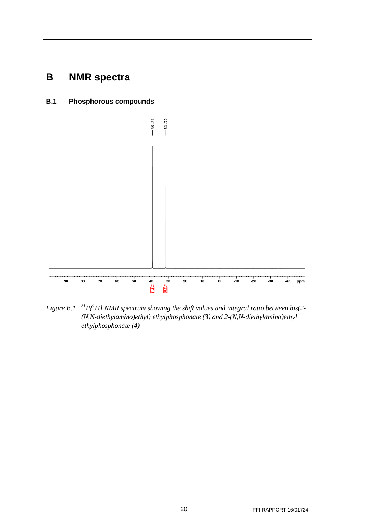# <span id="page-21-0"></span>**B NMR spectra**

<span id="page-21-1"></span>**B.1 Phosphorous compounds**



<span id="page-21-2"></span>*Figure B.1 31P{1 H} NMR spectrum showing the shift values and integral ratio between bis(2- (N,N-diethylamino)ethyl) ethylphosphonate (3) and 2-(N,N-diethylamino)ethyl ethylphosphonate (4)*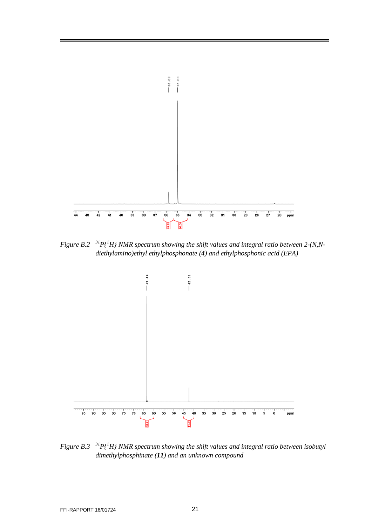

<span id="page-22-0"></span>*Figure B.2*  $H^3P_l^H$  NMR spectrum showing the shift values and integral ratio between 2-(N,N*diethylamino)ethyl ethylphosphonate (4) and ethylphosphonic acid (EPA)*



<span id="page-22-1"></span>*Figure* B.3  $\binom{31}{1}$  *P*{<sup>1</sup>H} NMR spectrum showing the shift values and integral ratio between isobutyl *dimethylphosphinate (11) and an unknown compound*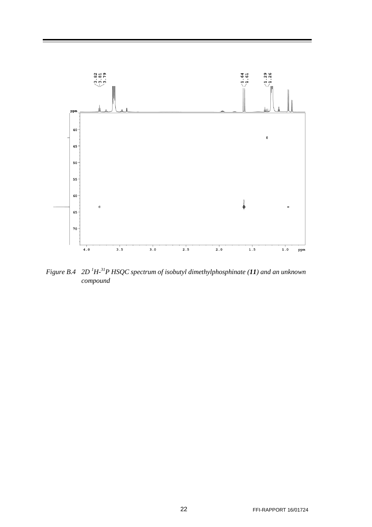

<span id="page-23-0"></span>*Figure B.4 2D <sup>1</sup> H-31P HSQC spectrum of isobutyl dimethylphosphinate (11) and an unknown compound*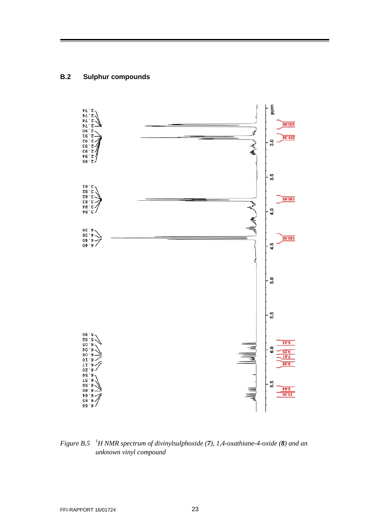### <span id="page-24-0"></span>**B.2 Sulphur compounds**



<span id="page-24-1"></span>*Figure B.5 <sup>1</sup> H NMR spectrum of divinylsulphoxide (7), 1,4-oxathiane-4-oxide (8) and an unknown vinyl compound*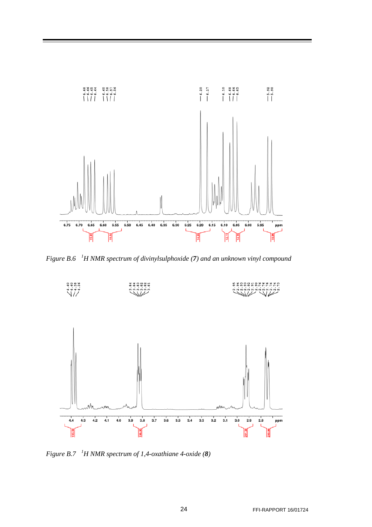

<span id="page-25-0"></span>*Figure B.6 <sup>1</sup> H NMR spectrum of divinylsulphoxide (7) and an unknown vinyl compound*



<span id="page-25-1"></span>*Figure B.7 <sup>1</sup> H NMR spectrum of 1,4-oxathiane 4-oxide (8)*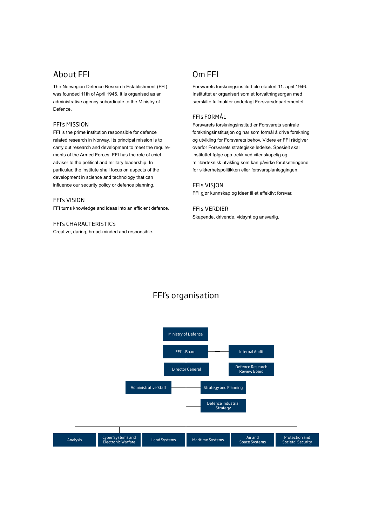### About FFI

The Norwegian Defence Research Establishment (FFI) was founded 11th of April 1946. It is organised as an administrative agency subordinate to the Ministry of Defence.

#### FFI's mission

FFI is the prime institution responsible for defence related research in Norway. Its principal mission is to carry out research and development to meet the requirements of the Armed Forces. FFI has the role of chief adviser to the political and military leadership. In particular, the institute shall focus on aspects of the development in science and technology that can influence our security policy or defence planning.

#### FFI's vision

FFI turns knowledge and ideas into an efficient defence.

FFI's characteristics Creative, daring, broad-minded and responsible.

### Om FFI

Forsvarets forskningsinstitutt ble etablert 11. april 1946. Instituttet er organisert som et forvaltningsorgan med særskilte fullmakter underlagt Forsvarsdepartementet.

#### FFIs formål

Forsvarets forskningsinstitutt er Forsvarets sentrale forskningsinstitusjon og har som formål å drive forskning og utvikling for Forsvarets behov. Videre er FFI rådgiver overfor Forsvarets strategiske ledelse. Spesielt skal instituttet følge opp trekk ved vitenskapelig og militærteknisk utvikling som kan påvirke forutsetningene for sikkerhetspolitikken eller forsvarsplanleggingen.

#### FFIs visjon

FFI gjør kunnskap og ideer til et effektivt forsvar.

#### FFIs verdier

Skapende, drivende, vidsynt og ansvarlig.

## FFI's organisation